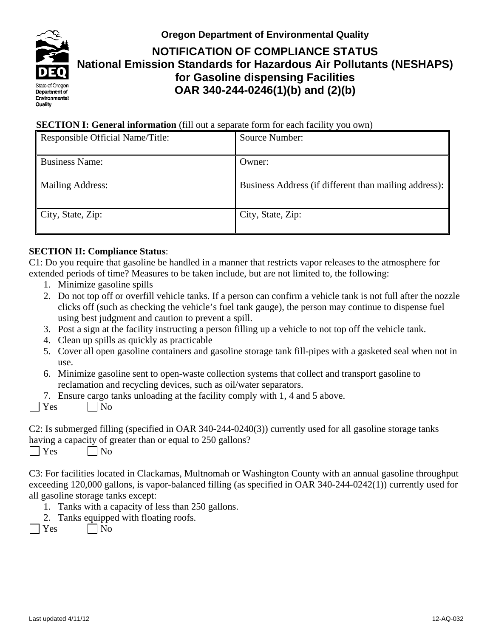

# **Oregon Department of Environmental Quality NOTIFICATION OF COMPLIANCE STATUS National Emission Standards for Hazardous Air Pollutants (NESHAPS) for Gasoline dispensing Facilities OAR 340-244-0246(1)(b) and (2)(b)**

# **SECTION I: General information** (fill out a separate form for each facility you own)

| Responsible Official Name/Title: | Source Number:                                        |
|----------------------------------|-------------------------------------------------------|
| <b>Business Name:</b>            | Owner:                                                |
| Mailing Address:                 | Business Address (if different than mailing address): |
| $\mid$ City, State, Zip:         | City, State, Zip:                                     |

### **SECTION II: Compliance Status**:

C1: Do you require that gasoline be handled in a manner that restricts vapor releases to the atmosphere for extended periods of time? Measures to be taken include, but are not limited to, the following:

- 1. Minimize gasoline spills
- 2. Do not top off or overfill vehicle tanks. If a person can confirm a vehicle tank is not full after the nozzle clicks off (such as checking the vehicle's fuel tank gauge), the person may continue to dispense fuel using best judgment and caution to prevent a spill.
- 3. Post a sign at the facility instructing a person filling up a vehicle to not top off the vehicle tank.
- 4. Clean up spills as quickly as practicable
- 5. Cover all open gasoline containers and gasoline storage tank fill-pipes with a gasketed seal when not in use.
- 6. Minimize gasoline sent to open-waste collection systems that collect and transport gasoline to reclamation and recycling devices, such as oil/water separators.
- 7. Ensure cargo tanks unloading at the facility comply with 1, 4 and 5 above.
- $\bigcap$  Yes  $\bigcap$  No

C2: Is submerged filling (specified in OAR 340-244-0240(3)) currently used for all gasoline storage tanks having a capacity of greater than or equal to 250 gallons?

 $\bigcap$  Yes  $\bigcap$  No

C3: For facilities located in Clackamas, Multnomah or Washington County with an annual gasoline throughput exceeding 120,000 gallons, is vapor-balanced filling (as specified in OAR 340-244-0242(1)) currently used for all gasoline storage tanks except:

- 1. Tanks with a capacity of less than 250 gallons.
- 2. Tanks equipped with floating roofs.
- $\vert$  Yes  $\vert$  No